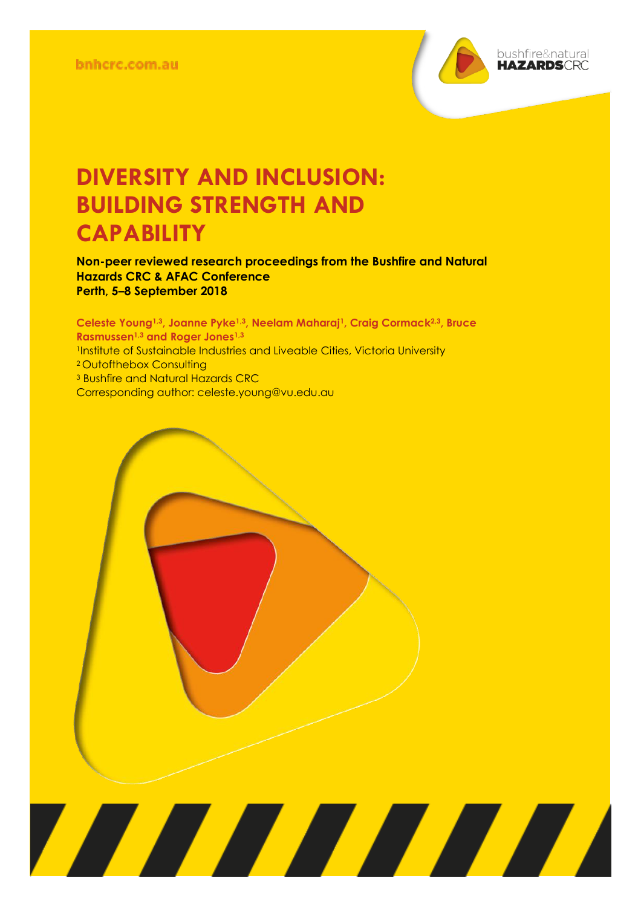

# **DIVERSITY AND INCLUSION: BUILDING STRENGTH AND CAPABILITY**

**Non-peer reviewed research proceedings from the Bushfire and Natural Hazards CRC & AFAC Conference Perth, 5–8 September 2018**

**Celeste Young1,3, Joanne Pyke1,3, Neelam Maharaj1, Craig Cormack2,3, Bruce Rasmussen1,3 and Roger Jones1,3** <sup>1</sup>Institute of Sustainable Industries and Liveable Cities, Victoria University <sup>2</sup> Outofthebox Consulting <sup>3</sup> Bushfire and Natural Hazards CRC Corresponding author: [celeste.young@vu.edu.au](mailto:celeste.young@vu.edu.au)

<u> Alian Alian Karena dago dago da karena dago da karena dago da karena dago da karena dago da karena da karena </u>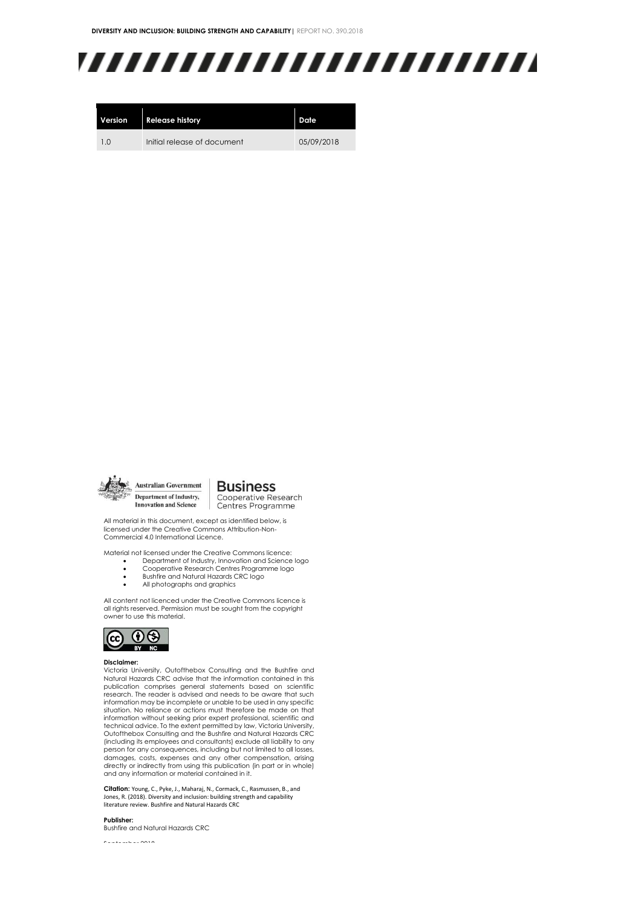# ,,,,,,,,,,,,,,,,,,,,,,,,,

| Version | <b>Release history</b>      | Date       |
|---------|-----------------------------|------------|
| 10      | Initial release of document | 05/09/2018 |



All material in this document, except as identified below, is licensed under the Creative Commons Attribution-Non-Commercial 4.0 International Licence.

Material not licensed under the Creative Commons licence:

- Department of Industry, Innovation and Science logo • Cooperative Research Centres Programme logo
- Bushfire and Natural Hazards CRC logo
- 
- All photographs and graphics

All content not licenced under the Creative Commons licence is all rights reserved. Permission must be sought from the copyright owner to use this material.



#### **Disclaimer:**

Victoria University, Outofthebox Consulting and the Bushfire and Natural Hazards CRC advise that the information contained in this publication comprises general statements based on scientific research. The reader is advised and needs to be aware that such information may be incomplete or unable to be used in any specific situation. No reliance or actions must therefore be made on that information without seeking prior expert professional, scientific and technical advice. To the extent permitted by law, Victoria University, Outofthebox Consulting and the Bushfire and Natural Hazards CRC (including its employees and consultants) exclude all liability to any person for any consequences, including but not limited to all losses, damages, costs, expenses and any other compensation, arising directly or indirectly from using this publication (in part or in whole) and any information or material contained in it.

**Citation:** Young, C., Pyke, J., Maharaj, N., Cormack, C., Rasmussen, B., and Jones, R. (2018). Diversity and inclusion: building strength and capability literature review. Bushfire and Natural Hazards CRC

#### **Publisher:**

Bushfire and Natural Hazards CRC

September 2018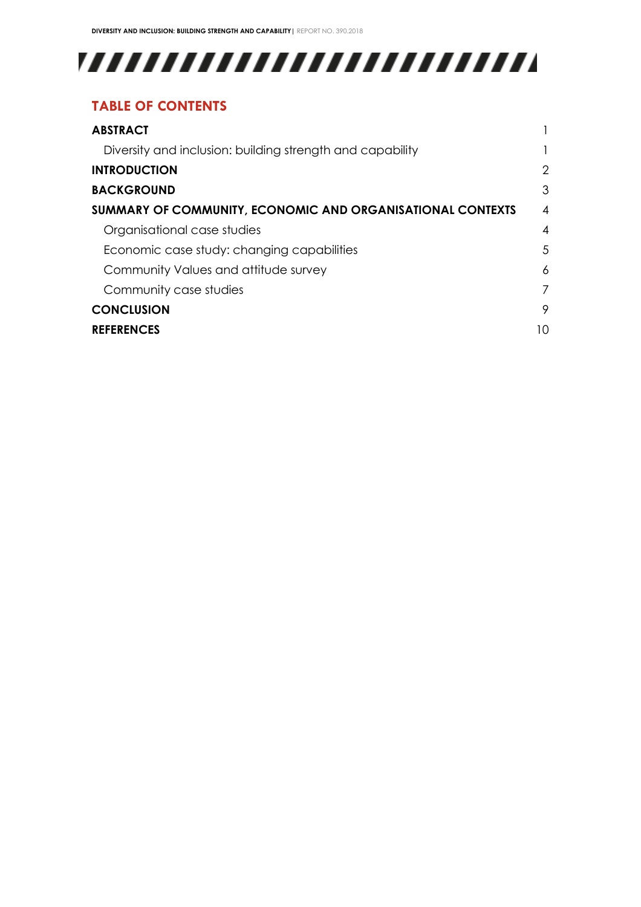# 

## **TABLE OF CONTENTS**

| <b>ABSTRACT</b>                                            |    |
|------------------------------------------------------------|----|
| Diversity and inclusion: building strength and capability  |    |
| <b>INTRODUCTION</b>                                        | 2  |
| <b>BACKGROUND</b>                                          | 3  |
| SUMMARY OF COMMUNITY, ECONOMIC AND ORGANISATIONAL CONTEXTS | 4  |
| Organisational case studies                                | 4  |
| Economic case study: changing capabilities                 | 5  |
| Community Values and attitude survey                       | 6  |
| Community case studies                                     | 7  |
| <b>CONCLUSION</b>                                          | 9  |
| <b>REFERENCES</b>                                          | 10 |
|                                                            |    |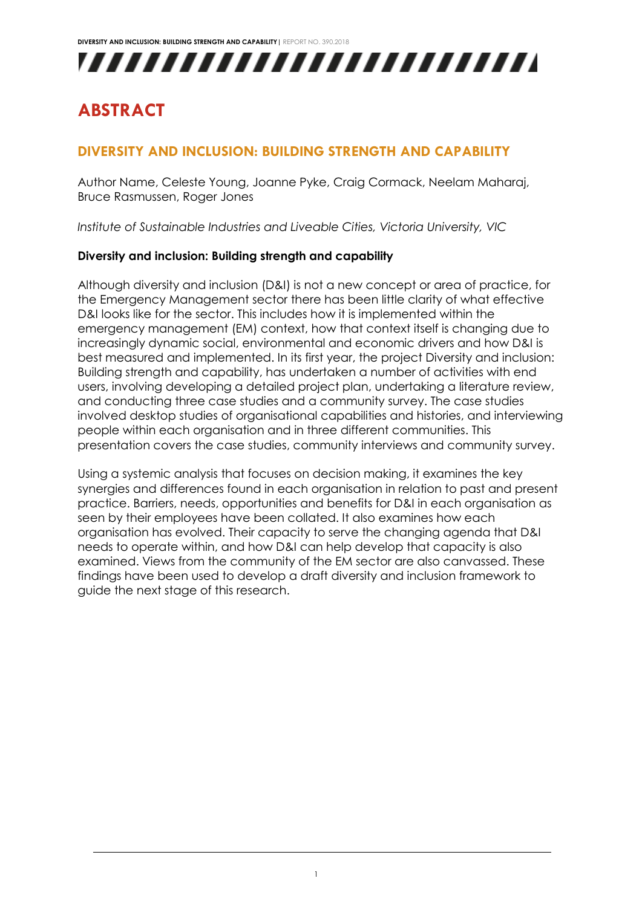

## <span id="page-3-0"></span>**ABSTRACT**

### <span id="page-3-1"></span>**DIVERSITY AND INCLUSION: BUILDING STRENGTH AND CAPABILITY**

Author Name, Celeste Young, Joanne Pyke, Craig Cormack, Neelam Maharaj, Bruce Rasmussen, Roger Jones

*Institute of Sustainable Industries and Liveable Cities, Victoria University, VIC*

#### **Diversity and inclusion: Building strength and capability**

Although diversity and inclusion (D&I) is not a new concept or area of practice, for the Emergency Management sector there has been little clarity of what effective D&I looks like for the sector. This includes how it is implemented within the emergency management (EM) context, how that context itself is changing due to increasingly dynamic social, environmental and economic drivers and how D&I is best measured and implemented. In its first year, the project Diversity and inclusion: Building strength and capability, has undertaken a number of activities with end users, involving developing a detailed project plan, undertaking a literature review, and conducting three case studies and a community survey. The case studies involved desktop studies of organisational capabilities and histories, and interviewing people within each organisation and in three different communities. This presentation covers the case studies, community interviews and community survey.

Using a systemic analysis that focuses on decision making, it examines the key synergies and differences found in each organisation in relation to past and present practice. Barriers, needs, opportunities and benefits for D&I in each organisation as seen by their employees have been collated. It also examines how each organisation has evolved. Their capacity to serve the changing agenda that D&I needs to operate within, and how D&I can help develop that capacity is also examined. Views from the community of the EM sector are also canvassed. These findings have been used to develop a draft diversity and inclusion framework to guide the next stage of this research.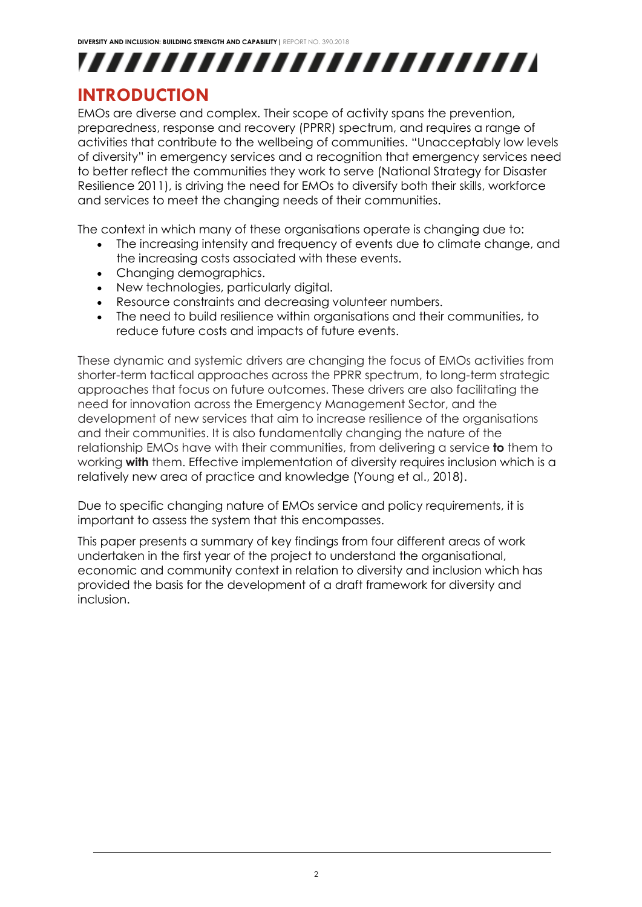

## <span id="page-4-0"></span>**INTRODUCTION**

EMOs are diverse and complex. Their scope of activity spans the prevention, preparedness, response and recovery (PPRR) spectrum, and requires a range of activities that contribute to the wellbeing of communities. "Unacceptably low levels of diversity" in emergency services and a recognition that emergency services need to better reflect the communities they work to serve (National Strategy for Disaster Resilience 2011), is driving the need for EMOs to diversify both their skills, workforce and services to meet the changing needs of their communities.

The context in which many of these organisations operate is changing due to:

- The increasing intensity and frequency of events due to climate change, and the increasing costs associated with these events.
- Changing demographics.
- New technologies, particularly digital.
- Resource constraints and decreasing volunteer numbers.
- The need to build resilience within organisations and their communities, to reduce future costs and impacts of future events.

These dynamic and systemic drivers are changing the focus of EMOs activities from shorter-term tactical approaches across the PPRR spectrum, to long-term strategic approaches that focus on future outcomes. These drivers are also facilitating the need for innovation across the Emergency Management Sector, and the development of new services that aim to increase resilience of the organisations and their communities. It is also fundamentally changing the nature of the relationship EMOs have with their communities, from delivering a service **to** them to working **with** them. Effective implementation of diversity requires inclusion which is a relatively new area of practice and knowledge (Young et al., 2018).

Due to specific changing nature of EMOs service and policy requirements, it is important to assess the system that this encompasses.

This paper presents a summary of key findings from four different areas of work undertaken in the first year of the project to understand the organisational, economic and community context in relation to diversity and inclusion which has provided the basis for the development of a draft framework for diversity and inclusion.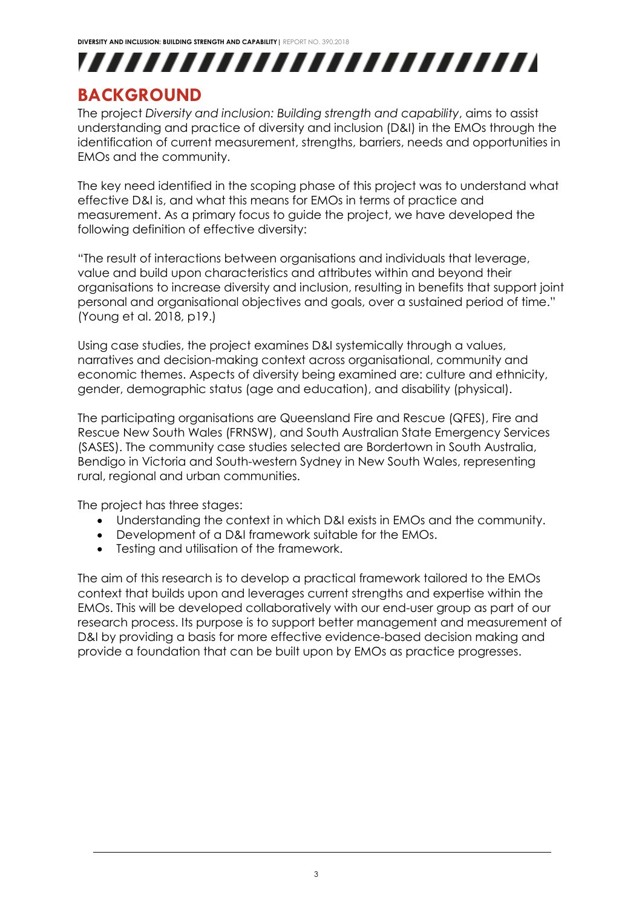

## <span id="page-5-0"></span>**BACKGROUND**

The project *Diversity and inclusion: Building strength and capability*, aims to assist understanding and practice of diversity and inclusion (D&I) in the EMOs through the identification of current measurement, strengths, barriers, needs and opportunities in EMOs and the community.

The key need identified in the scoping phase of this project was to understand what effective D&I is, and what this means for EMOs in terms of practice and measurement. As a primary focus to guide the project, we have developed the following definition of effective diversity:

"The result of interactions between organisations and individuals that leverage, value and build upon characteristics and attributes within and beyond their organisations to increase diversity and inclusion, resulting in benefits that support joint personal and organisational objectives and goals, over a sustained period of time." (Young et al. 2018, p19.)

Using case studies, the project examines D&I systemically through a values, narratives and decision-making context across organisational, community and economic themes. Aspects of diversity being examined are: culture and ethnicity, gender, demographic status (age and education), and disability (physical).

The participating organisations are Queensland Fire and Rescue (QFES), Fire and Rescue New South Wales (FRNSW), and South Australian State Emergency Services (SASES). The community case studies selected are Bordertown in South Australia, Bendigo in Victoria and South-western Sydney in New South Wales, representing rural, regional and urban communities.

The project has three stages:

- Understanding the context in which D&I exists in EMOs and the community.
- Development of a D&I framework suitable for the EMOs.
- Testing and utilisation of the framework.

The aim of this research is to develop a practical framework tailored to the EMOs context that builds upon and leverages current strengths and expertise within the EMOs. This will be developed collaboratively with our end-user group as part of our research process. Its purpose is to support better management and measurement of D&I by providing a basis for more effective evidence-based decision making and provide a foundation that can be built upon by EMOs as practice progresses.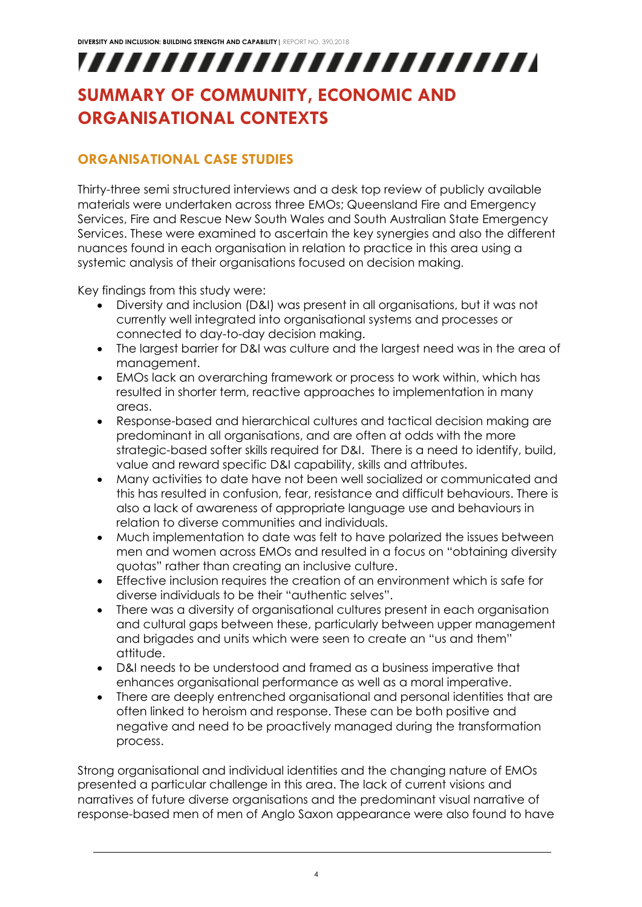# ,,,,,,,,,,,,,,,,,,,,,,,,,

## <span id="page-6-0"></span>**SUMMARY OF COMMUNITY, ECONOMIC AND ORGANISATIONAL CONTEXTS**

## <span id="page-6-1"></span>**ORGANISATIONAL CASE STUDIES**

Thirty-three semi structured interviews and a desk top review of publicly available materials were undertaken across three EMOs; Queensland Fire and Emergency Services, Fire and Rescue New South Wales and South Australian State Emergency Services. These were examined to ascertain the key synergies and also the different nuances found in each organisation in relation to practice in this area using a systemic analysis of their organisations focused on decision making.

Key findings from this study were:

- Diversity and inclusion (D&I) was present in all organisations, but it was not currently well integrated into organisational systems and processes or connected to day-to-day decision making.
- The largest barrier for D&I was culture and the largest need was in the area of management.
- EMOs lack an overarching framework or process to work within, which has resulted in shorter term, reactive approaches to implementation in many areas.
- Response-based and hierarchical cultures and tactical decision making are predominant in all organisations, and are often at odds with the more strategic-based softer skills required for D&I. There is a need to identify, build, value and reward specific D&I capability, skills and attributes.
- Many activities to date have not been well socialized or communicated and this has resulted in confusion, fear, resistance and difficult behaviours. There is also a lack of awareness of appropriate language use and behaviours in relation to diverse communities and individuals.
- Much implementation to date was felt to have polarized the issues between men and women across EMOs and resulted in a focus on "obtaining diversity quotas" rather than creating an inclusive culture.
- Effective inclusion requires the creation of an environment which is safe for diverse individuals to be their "authentic selves".
- There was a diversity of organisational cultures present in each organisation and cultural gaps between these, particularly between upper management and brigades and units which were seen to create an "us and them" attitude.
- D&I needs to be understood and framed as a business imperative that enhances organisational performance as well as a moral imperative.
- There are deeply entrenched organisational and personal identities that are often linked to heroism and response. These can be both positive and negative and need to be proactively managed during the transformation process.

Strong organisational and individual identities and the changing nature of EMOs presented a particular challenge in this area. The lack of current visions and narratives of future diverse organisations and the predominant visual narrative of response-based men of men of Anglo Saxon appearance were also found to have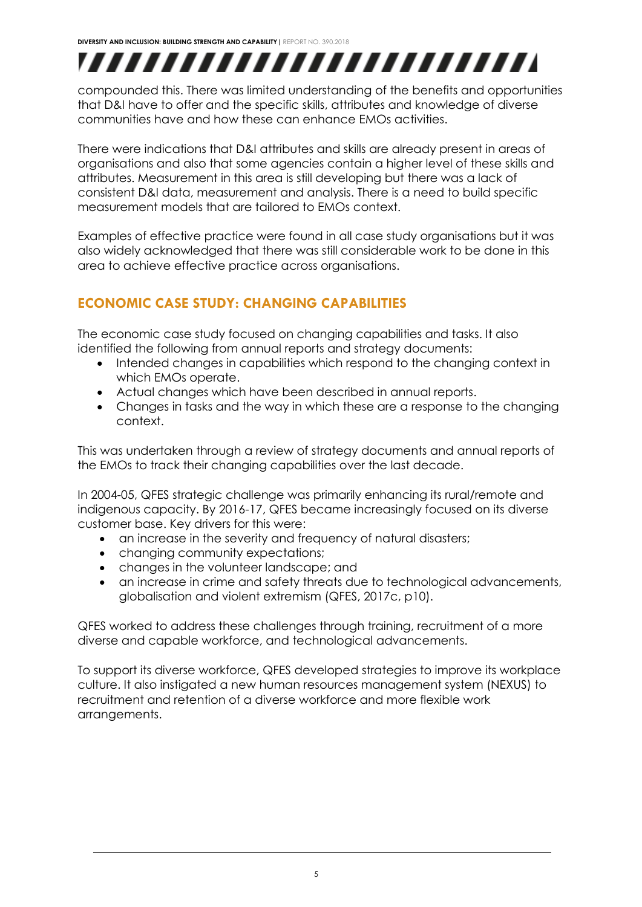# ,,,,,,,,,,,,,,,,,,,,,,,,,

compounded this. There was limited understanding of the benefits and opportunities that D&I have to offer and the specific skills, attributes and knowledge of diverse communities have and how these can enhance EMOs activities.

There were indications that D&I attributes and skills are already present in areas of organisations and also that some agencies contain a higher level of these skills and attributes. Measurement in this area is still developing but there was a lack of consistent D&I data, measurement and analysis. There is a need to build specific measurement models that are tailored to EMOs context.

Examples of effective practice were found in all case study organisations but it was also widely acknowledged that there was still considerable work to be done in this area to achieve effective practice across organisations.

## <span id="page-7-0"></span>**ECONOMIC CASE STUDY: CHANGING CAPABILITIES**

The economic case study focused on changing capabilities and tasks. It also identified the following from annual reports and strategy documents:

- Intended changes in capabilities which respond to the changing context in which EMOs operate.
- Actual changes which have been described in annual reports.
- Changes in tasks and the way in which these are a response to the changing context.

This was undertaken through a review of strategy documents and annual reports of the EMOs to track their changing capabilities over the last decade.

In 2004-05, QFES strategic challenge was primarily enhancing its rural/remote and indigenous capacity. By 2016-17, QFES became increasingly focused on its diverse customer base. Key drivers for this were:

- an increase in the severity and frequency of natural disasters;
- changing community expectations;
- changes in the volunteer landscape; and
- an increase in crime and safety threats due to technological advancements, globalisation and violent extremism (QFES, 2017c, p10).

QFES worked to address these challenges through training, recruitment of a more diverse and capable workforce, and technological advancements.

To support its diverse workforce, QFES developed strategies to improve its workplace culture. It also instigated a new human resources management system (NEXUS) to recruitment and retention of a diverse workforce and more flexible work arrangements.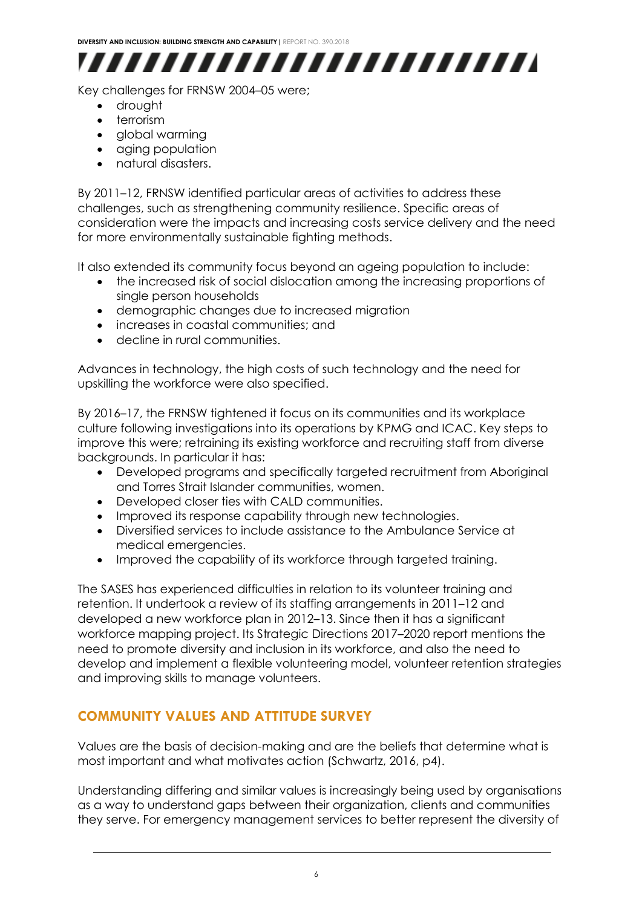

Key challenges for FRNSW 2004–05 were;

- drought
- terrorism
- global warming
- aging population
- natural disasters.

By 2011–12, FRNSW identified particular areas of activities to address these challenges, such as strengthening community resilience. Specific areas of consideration were the impacts and increasing costs service delivery and the need for more environmentally sustainable fighting methods.

It also extended its community focus beyond an ageing population to include:

- the increased risk of social dislocation among the increasing proportions of single person households
- demographic changes due to increased migration
- increases in coastal communities; and
- decline in rural communities.

Advances in technology, the high costs of such technology and the need for upskilling the workforce were also specified.

By 2016–17, the FRNSW tightened it focus on its communities and its workplace culture following investigations into its operations by KPMG and ICAC. Key steps to improve this were; retraining its existing workforce and recruiting staff from diverse backgrounds. In particular it has:

- Developed programs and specifically targeted recruitment from Aboriginal and Torres Strait Islander communities, women.
- Developed closer ties with CALD communities.
- Improved its response capability through new technologies.
- Diversified services to include assistance to the Ambulance Service at medical emergencies.
- Improved the capability of its workforce through targeted training.

The SASES has experienced difficulties in relation to its volunteer training and retention. It undertook a review of its staffing arrangements in 2011–12 and developed a new workforce plan in 2012–13. Since then it has a significant workforce mapping project. Its Strategic Directions 2017–2020 report mentions the need to promote diversity and inclusion in its workforce, and also the need to develop and implement a flexible volunteering model, volunteer retention strategies and improving skills to manage volunteers.

### <span id="page-8-0"></span>**COMMUNITY VALUES AND ATTITUDE SURVEY**

Values are the basis of decision-making and are the beliefs that determine what is most important and what motivates action (Schwartz, 2016, p4).

Understanding differing and similar values is increasingly being used by organisations as a way to understand gaps between their organization, clients and communities they serve. For emergency management services to better represent the diversity of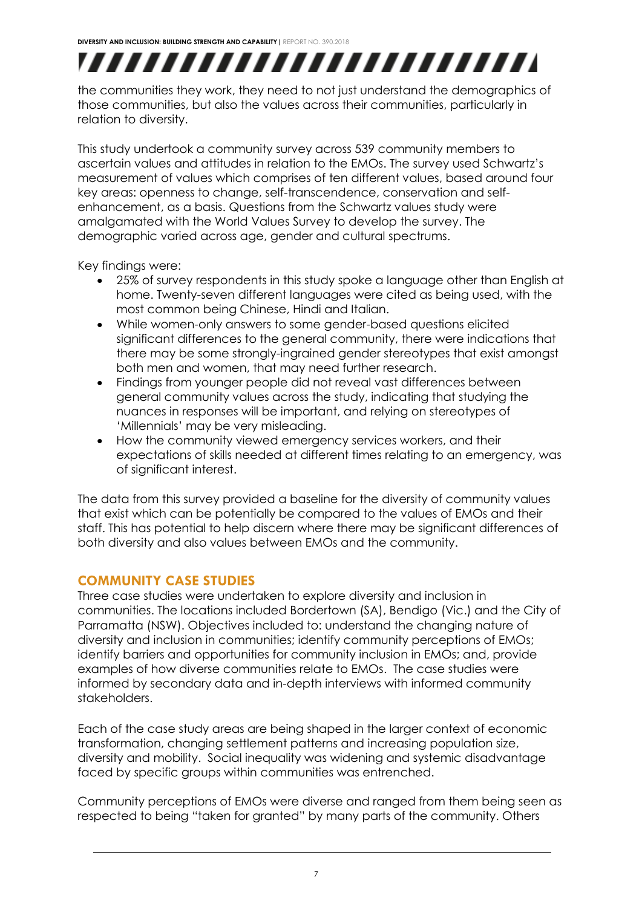# ,,,,,,,,,,,,,,,,,,,,,,,,,

the communities they work, they need to not just understand the demographics of those communities, but also the values across their communities, particularly in relation to diversity.

This study undertook a community survey across 539 community members to ascertain values and attitudes in relation to the EMOs. The survey used Schwartz's measurement of values which comprises of ten different values, based around four key areas: openness to change, self-transcendence, conservation and selfenhancement, as a basis. Questions from the Schwartz values study were amalgamated with the World Values Survey to develop the survey. The demographic varied across age, gender and cultural spectrums.

Key findings were:

- 25% of survey respondents in this study spoke a language other than English at home. Twenty-seven different languages were cited as being used, with the most common being Chinese, Hindi and Italian.
- While women-only answers to some gender-based questions elicited significant differences to the general community, there were indications that there may be some strongly-ingrained gender stereotypes that exist amongst both men and women, that may need further research.
- Findings from younger people did not reveal vast differences between general community values across the study, indicating that studying the nuances in responses will be important, and relying on stereotypes of 'Millennials' may be very misleading.
- How the community viewed emergency services workers, and their expectations of skills needed at different times relating to an emergency, was of significant interest.

The data from this survey provided a baseline for the diversity of community values that exist which can be potentially be compared to the values of EMOs and their staff. This has potential to help discern where there may be significant differences of both diversity and also values between EMOs and the community.

## <span id="page-9-0"></span>**COMMUNITY CASE STUDIES**

Three case studies were undertaken to explore diversity and inclusion in communities. The locations included Bordertown (SA), Bendigo (Vic.) and the City of Parramatta (NSW). Objectives included to: understand the changing nature of diversity and inclusion in communities; identify community perceptions of EMOs; identify barriers and opportunities for community inclusion in EMOs; and, provide examples of how diverse communities relate to EMOs. The case studies were informed by secondary data and in-depth interviews with informed community stakeholders.

Each of the case study areas are being shaped in the larger context of economic transformation, changing settlement patterns and increasing population size, diversity and mobility. Social inequality was widening and systemic disadvantage faced by specific groups within communities was entrenched.

Community perceptions of EMOs were diverse and ranged from them being seen as respected to being "taken for granted" by many parts of the community. Others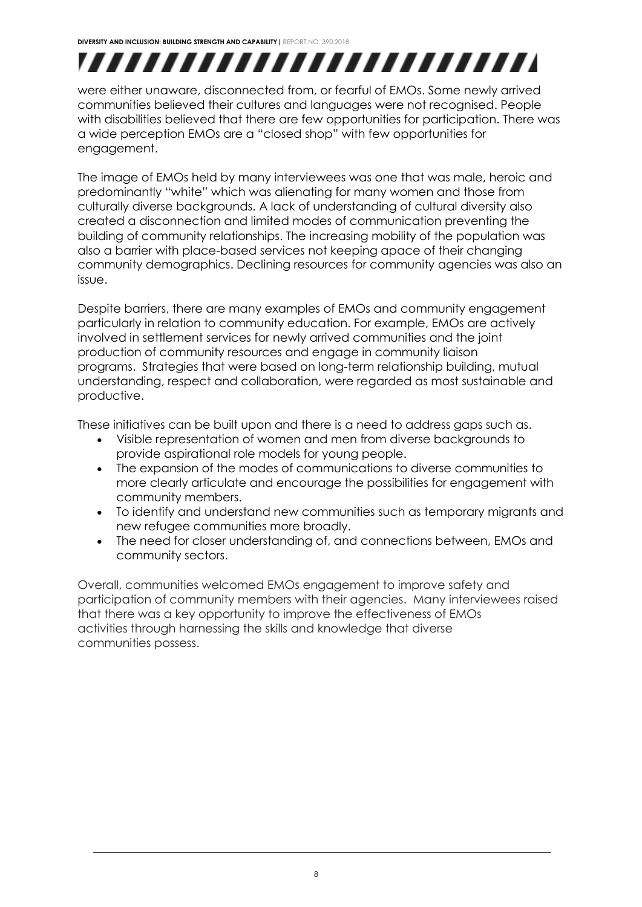# ,,,,,,,,,,,,,,,,,,,,,,,,,

were either unaware, disconnected from, or fearful of EMOs. Some newly arrived communities believed their cultures and languages were not recognised. People with disabilities believed that there are few opportunities for participation. There was a wide perception EMOs are a "closed shop" with few opportunities for engagement.

The image of EMOs held by many interviewees was one that was male, heroic and predominantly "white" which was alienating for many women and those from culturally diverse backgrounds. A lack of understanding of cultural diversity also created a disconnection and limited modes of communication preventing the building of community relationships. The increasing mobility of the population was also a barrier with place-based services not keeping apace of their changing community demographics. Declining resources for community agencies was also an issue.

Despite barriers, there are many examples of EMOs and community engagement particularly in relation to community education. For example, EMOs are actively involved in settlement services for newly arrived communities and the joint production of community resources and engage in community liaison programs. Strategies that were based on long-term relationship building, mutual understanding, respect and collaboration, were regarded as most sustainable and productive.

These initiatives can be built upon and there is a need to address gaps such as.

- Visible representation of women and men from diverse backgrounds to provide aspirational role models for young people.
- The expansion of the modes of communications to diverse communities to more clearly articulate and encourage the possibilities for engagement with community members.
- To identify and understand new communities such as temporary migrants and new refugee communities more broadly.
- The need for closer understanding of, and connections between, EMOs and community sectors.

Overall, communities welcomed EMOs engagement to improve safety and participation of community members with their agencies. Many interviewees raised that there was a key opportunity to improve the effectiveness of EMOs activities through harnessing the skills and knowledge that diverse communities possess.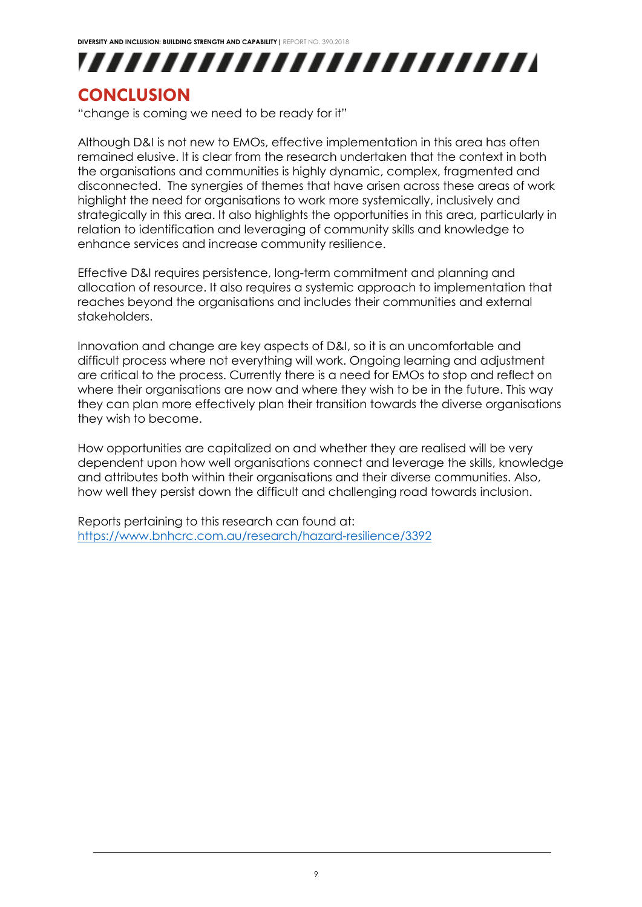

## <span id="page-11-0"></span>**CONCLUSION**

"change is coming we need to be ready for it"

Although D&I is not new to EMOs, effective implementation in this area has often remained elusive. It is clear from the research undertaken that the context in both the organisations and communities is highly dynamic, complex, fragmented and disconnected. The synergies of themes that have arisen across these areas of work highlight the need for organisations to work more systemically, inclusively and strategically in this area. It also highlights the opportunities in this area, particularly in relation to identification and leveraging of community skills and knowledge to enhance services and increase community resilience.

Effective D&I requires persistence, long-term commitment and planning and allocation of resource. It also requires a systemic approach to implementation that reaches beyond the organisations and includes their communities and external stakeholders.

Innovation and change are key aspects of D&I, so it is an uncomfortable and difficult process where not everything will work. Ongoing learning and adjustment are critical to the process. Currently there is a need for EMOs to stop and reflect on where their organisations are now and where they wish to be in the future. This way they can plan more effectively plan their transition towards the diverse organisations they wish to become.

How opportunities are capitalized on and whether they are realised will be very dependent upon how well organisations connect and leverage the skills, knowledge and attributes both within their organisations and their diverse communities. Also, how well they persist down the difficult and challenging road towards inclusion.

Reports pertaining to this research can found at: <https://www.bnhcrc.com.au/research/hazard-resilience/3392>